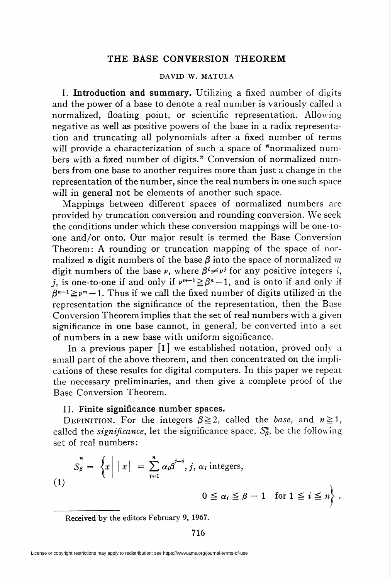## THE BASE CONVERSION THEOREM

## DAVID W. MATULA

I. Introduction and summary. Utilizing a fixed number of digits and the power of a base to denote a real number is variously called a normalized, floating point, or scientific representation. Allowing negative as well as positive powers of the base in a radix representation and truncating all polynomials after a fixed number of terms will provide a characterization of such a space of "normalized numbers with a fixed number of digits." Conversion of normalized numbers from one base to another requires more than just a change in the representation of the number, since the real numbers in one such space will in general not be elements of another such space.

Mappings between different spaces of normalized numbers are provided by truncation conversion and rounding conversion. We seek the conditions under which these conversion mappings will be one-toone and/or onto. Our major result is termed the Base Conversion Theorem: A rounding or truncation mapping of the space of normalized *n* digit numbers of the base  $\beta$  into the space of normalized *m* digit numbers of the base  $\nu$ , where  $\beta^i \neq \nu^j$  for any positive integers i, j, is one-to-one if and only if  $\nu^{m-1} \geq \beta^{n} - 1$ , and is onto if and only if  $\beta^{n-1} \geq \gamma^m-1$ . Thus if we call the fixed number of digits utilized in the representation the significance of the representation, then the Base Conversion Theorem implies that the set of real numbers with a given significance in one base cannot, in general, be converted into a set of numbers in a new base with uniform significance.

In a previous paper  $\begin{bmatrix} 1 \end{bmatrix}$  we established notation, proved only a small part of the above theorem, and then concentrated on the implications of these results for digital computers. In this paper we repeat the necessary preliminaries, and then give a complete proof of the Base Conversion Theorem.

## II. Finite significance number spaces.

DEFINITION. For the integers  $\beta \ge 2$ , called the base, and  $n \ge 1$ , called the *significance*, let the significance space,  $S_{\beta}^{n}$ , be the following set of real numbers:

$$
S_{\beta} = \left\{ x \middle| \left| x \right| = \sum_{i=1}^{n} \alpha_{i} \beta^{j-i}, j, \alpha_{i} \text{ integers}, \right\}
$$
\n
$$
(1)
$$
\n
$$
0 \leq \alpha_{i} \leq \beta - 1 \quad \text{for } 1 \leq i \leq n \right\}.
$$

Received by the editors February 9, 1967.

716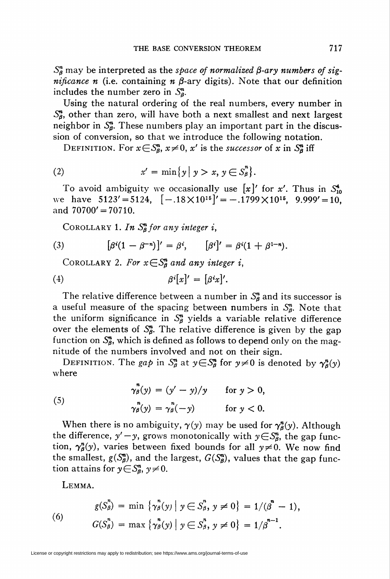$S_{\beta}^{n}$  may be interpreted as the space of normalized  $\beta$ -ary numbers of sig*nificance n* (i.e. containing *n*  $\beta$ -ary digits). Note that our definition includes the number zero in  $S_{a}^{n}$ .

Using the natural ordering of the real numbers, every number in  $S_{\beta}^{n}$ , other than zero, will have both a next smallest and next largest neighbor in  $S_{\beta}^{n}$ . These numbers play an important part in the discussion of conversion, so that we introduce the following notation.

DEFINITION. For  $x \in S_{\beta}^n$ ,  $x \neq 0$ , x' is the successor of x in  $S_{\beta}^n$  iff

$$
(2) \quad x' = \min\{y \mid y > x, y \in S^n_\beta\}.
$$

To avoid ambiguity we occasionally use  $[x]'$  for x'. Thus in  $S_{10}^4$ we have  $5123' = 5124$ ,  $[-.18 \times 10^{15}]' = -.1799 \times 10^{15}$ ,  $9.999' = 10$ , and  $70700' = 70710$ .

COROLLARY 1. In  $S_{\beta}^{n}$  for any integer i,

(3) 
$$
[\beta^{i}(1-\beta^{-n})]' = \beta^{i}, \qquad [\beta^{i}]' = \beta^{i}(1+\beta^{1-n}).
$$

COROLLARY 2. For  $x \in S^n_B$  and any integer i,

$$
\beta^{i}[x]' = [\beta^{i}x]'.
$$

The relative difference between a number in  $S^{\pi}_{\beta}$  and its successor is a useful measure of the spacing between numbers in  $S_{\beta}^{n}$ . Note that the uniform significance in  $S_{\beta}^{n}$  yields a variable relative difference over the elements of  $S^{\prime\prime}_{\beta}$ . The relative difference is given by the gap function on  $S_{\beta}^{n}$ , which is defined as follows to depend only on the magnitude of the numbers involved and not on their sign.

DEFINITION. The gap in  $S_{\beta}^n$  at  $y \in S_{\beta}^n$  for  $y \neq 0$  is denoted by  $\gamma_{\beta}^n(y)$ where

(5) 
$$
\gamma_{\beta}^{n}(y) = (y'-y)/y \quad \text{for } y > 0,
$$

$$
\gamma_{\beta}^{n}(y) = \gamma_{\beta}^{n}(-y) \quad \text{for } y < 0.
$$

When there is no ambiguity,  $\gamma(y)$  may be used for  $\gamma_{\beta}^{n}(y)$ . Although the difference,  $y'-y$ , grows monotonically with  $y \in S^n_\beta$ , the gap function,  $\gamma_{\beta}^{n}(y)$ , varies between fixed bounds for all  $y\neq0$ . We now find the smallest,  $g(S_{\beta}^{n})$ , and the largest,  $G(S_{\beta}^{n})$ , values that the gap function attains for  $y \in S_8^n$ ,  $y \neq 0$ .

Lemma.

(6) 
$$
g(S_{\beta}^{n}) = \min \{ \gamma_{\beta}^{n}(y) \mid y \in S_{\beta}^{n}, y \neq 0 \} = 1/(\beta^{n} - 1),
$$

$$
G(S_{\beta}^{n}) = \max \{ \gamma_{\beta}^{n}(y) \mid y \in S_{\beta}^{n}, y \neq 0 \} = 1/\beta^{n-1}.
$$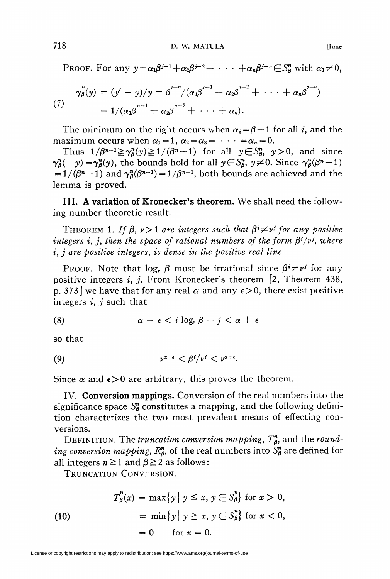PROOF. For any  $y = \alpha_1 \beta^{j-1} + \alpha_2 \beta^{j-2} + \cdots + \alpha_n \beta^{j-n} \in S_8^n$  with  $\alpha_1 \neq 0$ ,

(7) 
$$
\gamma_{\beta}^{n}(y) = (y'-y)/y = \beta^{j-n}/(\alpha_1\beta^{j-1} + \alpha_2\beta^{j-2} + \cdots + \alpha_n\beta^{j-n})
$$

$$
= 1/(\alpha_1\beta^{n-1} + \alpha_2\beta^{n-2} + \cdots + \alpha_n).
$$

The minimum on the right occurs when  $\alpha_i = \beta - 1$  for all i, and the maximum occurs when  $\alpha_1 = 1, \alpha_2 = \alpha_3 = \cdots = \alpha_n = 0.$ 

Thus  $1/\beta^{n-1}\geq \gamma_{\beta}^n(y)\geq 1/(\beta^n-1)$  for all  $y\in\mathcal{S}_{\beta}^n$ ,  $y>0$ , and since  $\gamma_{\theta}^{n}(-y) = \gamma_{\theta}^{n}(y)$ , the bounds hold for all  $y \in S_{\theta}^{n}$ ,  $y \neq 0$ . Since  $\gamma_{\theta}^{n}(\beta^{n}-1)$  $= 1/(\beta^{n}-1)$  and  $\gamma_{\beta}^{n}(\beta^{n-1}) = 1/\beta^{n-1}$ , both bounds are achieved and the lemma is proved.

III. A variation of Kronecker's theorem. We shall need the following number theoretic result.

THEOREM 1. If  $\beta$ ,  $\nu > 1$  are integers such that  $\beta^i \neq \nu^j$  for any positive integers i, j, then the space of rational numbers of the form  $\beta^{i}/\nu^{j}$ , where i, j are positive integers, is dense in the positive real line.

PROOF. Note that  $\log_{\nu} \beta$  must be irrational since  $\beta^i \neq \nu^j$  for any positive integers i, j. From Kronecker's theorem  $\left[2, \text{Theorem } 438, \right]$ p. 373] we have that for any real  $\alpha$  and any  $\epsilon > 0$ , there exist positive integers  $i, j$  such that

$$
\alpha - \epsilon < i \log_{\nu} \beta - j < \alpha + \epsilon
$$

so that

(9) v"-' < p/v' < va+e.

Since  $\alpha$  and  $\epsilon > 0$  are arbitrary, this proves the theorem.

IV. Conversion mappings. Conversion of the real numbers into the significance space  $S^{\prime\prime}$  constitutes a mapping, and the following definition characterizes the two most prevalent means of effecting conversions.

DEFINITION. The truncation conversion mapping,  $T_{\beta}^{n}$ , and the rounding conversion mapping,  $R^{\mathbf{n}}_{\beta}$ , of the real numbers into  $S^{\mathbf{n}}_{\beta}$  are defined for all integers  $n \ge 1$  and  $\beta \ge 2$  as follows:

Truncation Conversion.

(10)  
\n
$$
T_{\beta}^{n}(x) = \max \{ y \mid y \leq x, y \in S_{\beta}^{n} \} \text{ for } x > 0,
$$
\n
$$
= \min \{ y \mid y \geq x, y \in S_{\beta}^{n} \} \text{ for } x < 0,
$$
\n
$$
= 0 \quad \text{ for } x = 0.
$$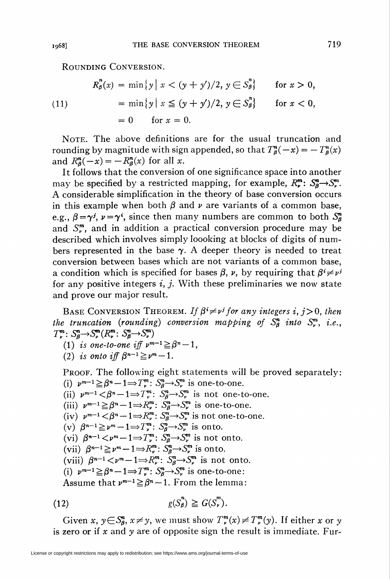Rounding Conversion.

(11)  
\n
$$
R_{\beta}^{n}(x) = \min \{ y \mid x < (y + y')/2, y \in S_{\beta}^{n} \} \quad \text{for } x > 0,
$$
\n
$$
= \min \{ y \mid x \le (y + y')/2, y \in S_{\beta}^{n} \} \quad \text{for } x < 0,
$$
\n
$$
= 0 \quad \text{for } x = 0.
$$

Note. The above definitions are for the usual truncation and rounding by magnitude with sign appended, so that  $T_{\theta}^{n}(-x) = -T_{\theta}^{n}(x)$ and  $R_{\theta}^{n}(-x) = -R_{\theta}^{n}(x)$  for all x.

It follows that the conversion of one significance space into another may be specified by a restricted mapping, for example,  $R_r^m$ :  $S_\theta^m \rightarrow S_r^m$ . A considerable simplification in the theory of base conversion occurs in this example when both  $\beta$  and  $\nu$  are variants of a common base, e.g.,  $\beta = \gamma^{j}$ ,  $\nu = \gamma^{i}$ , since then many numbers are common to both  $S_{\beta}^{n}$ and  $S_{n}^{m}$ , and in addition a practical conversion procedure may be described which involves simply loooking at blocks of digits of numbers represented in the base  $\gamma$ . A deeper theory is needed to treat conversion between bases which are not variants of a common base, a condition which is specified for bases  $\beta$ ,  $\nu$ , by requiring that  $\beta^i \neq \nu^j$ for any positive integers  $i, j$ . With these preliminaries we now state and prove our major result.

BASE CONVERSION THEOREM. If  $\beta^i \neq \nu^j$  for any integers i, j > 0, then the truncation (rounding) conversion mapping of  $S^m_{\beta}$  into  $S^m_{\nu}$ , i.e.,  $T_{\nu}^m: S_{\beta}^n \rightarrow S_{\nu}^m(R_{\nu}^m: S_{\beta}^n \rightarrow S_{\nu}^m)$ 

- (1) is one-to-one iff  $\nu^{m-1} \geq \beta^n-1$ ,
- (2) is onto iff  $\beta^{n-1} \geq \nu^m-1$ .

PROOF. The following eight statements will be proved separately: (i)  $\nu^{m-1} \geq \beta^m-1 \Rightarrow T_\nu^m: S_\beta^n \to S_\nu^m$  is one-to-one.

- (ii)  $\nu^{m-1} < \beta^n 1 \Rightarrow T_\nu^m$ :  $S_\beta^n \rightarrow S_\nu^m$  is not one-to-one.
- (iii)  $\nu^{m-1} \geq \beta^n 1 \Rightarrow R_\nu^m: S_\beta^n \to S_\nu^m$  is one-to-one.
- (iv)  $\nu^{m-1} < \beta^n 1 \Rightarrow R_{\nu}^m : S_{\beta}^n \rightarrow S_{\nu}^m$  is not one-to-one.
- (v)  $\beta^{n-1} \geq \nu^m-1 \Rightarrow T^m_{\nu}: S^n_{\beta} \to S^n_{\nu}$  is onto.
- (vi)  $\beta^{n-1} < \nu^m 1 \Rightarrow T_{\nu}^m$ :  $S_{\beta}^n \rightarrow S_{\nu}^m$  is not onto.
- (vii)  $\beta^{n-1} \geq \nu^m-1 \Rightarrow R^m_{\nu}: S^n_{\beta} \rightarrow S^m_{\nu}$  is onto.
- (viii)  $\beta^{n-1} < \nu^m 1 \Rightarrow R_\nu^m$ :  $S_\beta^n \rightarrow S_\nu^m$  is not onto.
- (i)  $\nu^{m-1} \geq \beta^{n}-1 \Rightarrow T_{\nu}^{m}: S_{\beta}^{n}\rightarrow S_{\nu}^{m}$  is one-to-one:

Assume that  $\nu^{m-1} \geq \beta^n - 1$ . From the lemma:

(12) 
$$
g(S_p^n) \geq G(S_v^m).
$$

Given x,  $y \in S_{\beta}^n$ ,  $x \neq y$ , we must show  $T_{\nu}^m(x) \neq T_{\nu}^m(y)$ . If either x or y is zero or if x and y are of opposite sign the result is immediate. Fur-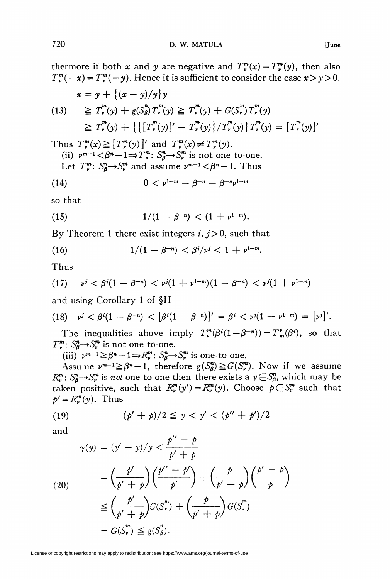$T_{\nu}^m(-x) = T_{\nu}^m(-y)$ . Hence it is sufficient to consider the case  $x > y > 0$ .  $x = \frac{1}{2} \left( \frac{1}{2} \right)^3$ 

$$
x = y + \{ (x - y)/y \} y
$$
  
(13) 
$$
\geq T_r^m(y) + g(S_p^n) T_r^m(y) \geq T_r^m(y) + G(S_r^m) T_r^m(y)
$$

$$
\geq T_r^m(y) + \{ \{ [T_r^m(y)]' - T_r^m(y) \} / T_r^m(y) \} T_r^m(y) = [T_r^m(y)]'
$$

Thus  $T_{\nu}^{m}(x)\geq[T_{\nu}^{m}(y)]'$  and  $T_{\nu}^{m}(x)\neq T_{\nu}^{m}(y)$ . (ii)  $\nu^{m-1} < \beta^n - 1 \Rightarrow T_\nu^m$ :  $S_\beta^n \rightarrow S_\nu^m$  is not one-to-one. Let  $T_\nu^m$ :  $S_\theta^n \rightarrow S_\nu^m$  and assume  $\nu^{m-1} < \beta^n-1$ . Thus

(14) 
$$
0 < \nu^{1-m} - \beta^{-n} - \beta^{-n}\nu^{1-m}
$$

so that

(15) 
$$
1/(1-\beta^{-n}) < (1+\nu^{1-m}).
$$

By Theorem 1 there exist integers  $i, j>0$ , such that

(16) 
$$
1/(1-\beta^{-n}) < \beta^i/\nu^j < 1 + \nu^{1-m}.
$$

Thus

(17) 
$$
v^j < \beta^i(1-\beta^{-n}) < v^j(1+\nu^{1-m})(1-\beta^{-n}) < v^j(1+\nu^{1-m})
$$

and using Corollary 1 of §11

(18) 
$$
v^{j} < \beta^{i}(1 - \beta^{-n}) < [\beta^{i}(1 - \beta^{-n})]^{j} = \beta^{i} < v^{j}(1 + v^{1-m}) = [v^{j}]^{j}
$$
.

The inequalities above imply  $T^m(\beta^i(1 - \beta^{-n})) = T^m_m(\beta^i)$ , so that  $T_{\nu}^{\mathfrak{m}}: S_{\beta}^{\mathfrak{m}} \rightarrow S_{\nu}^{\mathfrak{m}}$  is not one-to-one.

(iii)  $\nu^{m-1}\geq \beta^n-1\Rightarrow R_\nu^m$ :  $S_\beta^n\rightarrow S_\nu^m$  is one-to-one.

Assume  $\nu^{m-1} \geq \beta^{n} - 1$ , therefore  $g(S_{\beta}^{n}) \geq G(S_{\nu}^{m})$ . Now if we assume  $R_*^m$ :  $S_8^n \rightarrow S_*^m$  is not one-to-one then there exists a  $y \in S_8^n$ , which may be taken positive, such that  $R_\nu^m(y') = R_\nu^m(y)$ . Choose  $p \in S_\nu^m$  such that  $p' = R_{\nu}^{m}(y)$ . Thus

(19) 
$$
(p' + p)/2 \leq y < y' < (p'' + p')/2
$$

and

$$
\gamma(y) = (y' - y)/y < \frac{p'' - p}{p' + p}
$$
  
\n
$$
= \left(\frac{p'}{p' + p}\right) \left(\frac{p'' - p'}{p'}\right) + \left(\frac{p}{p' + p}\right) \left(\frac{p' - p}{p'}\right)
$$
  
\n
$$
\leq \left(\frac{p'}{p' + p}\right) G(S_v^m) + \left(\frac{p}{p' + p}\right) G(S_v^m)
$$
  
\n
$$
= G(S_v^m) \leq g(S_\beta^n).
$$

License or copyright restrictions may apply to redistribution; see https://www.ams.org/journal-terms-of-use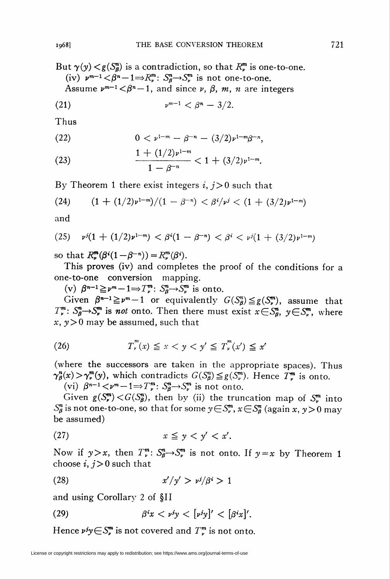But  $\gamma(y) < g(S_{\beta}^{n})$  is a contradiction, so that  $R_{\nu}^{m}$  is one-to-one. (iv)  $\nu^{m-1} \langle \beta^n - 1 \Rightarrow R_\nu^m : S_\beta^n \rightarrow S_\nu^m$  is not one-to-one. Assume  $\nu^{m-1} < \beta^{n} - 1$ , and since  $\nu$ ,  $\beta$ ,  $m$ ,  $n$  are integers

$$
(21) \qquad \qquad \nu^{m-1} < \beta^n - \frac{3}{2}
$$

Thus

(22) 
$$
0 < \nu^{1-m} - \beta^{-n} - (3/2)\nu^{1-m}\beta^{-n},
$$

(23) 
$$
\frac{1+(1/2)\nu^{1-m}}{1-\beta^{-n}} < 1+(3/2)\nu^{1-m}
$$

By Theorem 1 there exist integers  $i, j>0$  such that

(24) 
$$
(1+(1/2)\nu^{1-m})/(1-\beta^{-n}) < \beta^{i}/\nu^{j} < (1+(3/2)\nu^{1-m})
$$

and

(25) 
$$
v^{j}(1 + (1/2)v^{1-m}) < \beta^{i}(1 - \beta^{-n}) < \beta^{i} < v^{j}(1 + (3/2)v^{1-m})
$$

so that  $R^m$ ( $\beta^{i}(1-\beta^{-n})$ ) =  $R^m$ ( $\beta^{i}$ ).

This proves (iv) and completes the proof of the conditions for a one-to-one conversion mapping.

(v)  $\beta^{n-1} \geq \nu^m-1 \Rightarrow T_{\nu}^m: S_{\beta}^n \to S_{\nu}^m$  is onto.

Given  $\beta^{n-1} \geq \nu^{m}-1$  or equivalently  $G(S_{\beta}^{n}) \leq g(S_{\nu}^{m})$ , assume that  $T^{\mathfrak{m}}_{\nu}$ :  $S^{\mathfrak{m}}_{\beta} \rightarrow S^{\mathfrak{m}}_{\nu}$  is not onto. Then there must exist  $x \in S^{\mathfrak{m}}_{\beta}$ ,  $y \in S^{\mathfrak{m}}_{\nu}$ , where  $x, y>0$  may be assumed, such that

$$
(26) \t\t T_{\nu}^{m}(x) \leq x < y < y' \leq T_{\nu}^{m}(x') \leq x'
$$

(where the successors are taken in the appropriate spaces). Thus  $\gamma_{\beta}^n(x) > \gamma_{\nu}^m(y)$ , which contradicts  $G(S^m_{\beta}) \leq g(S^m_{\nu})$ . Hence  $T_{\nu}^m$  is onto.

(vi)  $\beta^{n-1} < \nu^m - 1 \Rightarrow T_{\nu}^m$ :  $S_{\beta}^n \rightarrow S_{\nu}^m$  is not onto.

Given  $g(S_v^m) < G(S_\beta^n)$ , then by (ii) the truncation map of  $S_v^m$  into  $S_{\beta}^{n}$  is not one-to-one, so that for some  $y \in S_{\beta}^{m}$ ,  $x \in S_{\beta}^{n}$  (again x, y > 0 may be assumed)

$$
(27) \t\t x \leq y < y' < x'.
$$

Now if  $y>x$ , then  $T_{\nu}^{m}$ :  $S_{\beta}^{n}\rightarrow S_{\nu}^{m}$  is not onto. If  $y=x$  by Theorem 1 choose  $i, j>0$  such that

$$
(28) \t\t\t x'/y' > \nu^j/\beta^i > 1
$$

and using Corollary 2 of §11

(29) 
$$
\beta^{i}x < \nu^{j}y < [\nu^{j}y]'<[\beta^{i}x]'
$$

Hence  $\nu^{j}y \in S_{\nu}^{m}$  is not covered and  $T_{\nu}^{m}$  is not onto.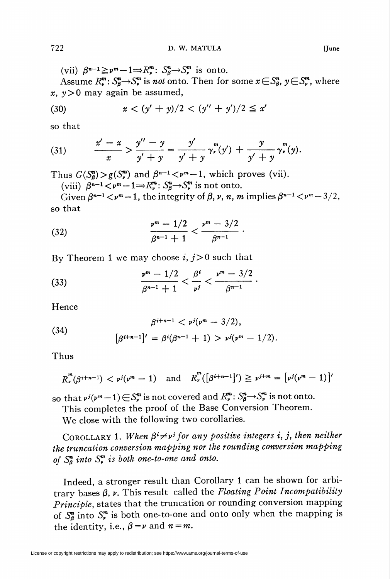(vii)  $\beta^{n-1} \geq \nu^m-1 \Rightarrow R_\nu^m: S_\beta^n \to S_\nu^m$  is onto.

Assume  $R_{\nu}^{m}$ :  $S_{\beta}^{m} \rightarrow S_{\nu}^{m}$  is *not* onto. Then for some  $x \in S_{\beta}^{n}$ ,  $y \in S_{\nu}^{m}$ , where x,  $y>0$  may again be assumed,

(30) 
$$
x < (y' + y)/2 < (y'' + y')/2 \le x'
$$

so that

(31) 
$$
\frac{x'-x}{x} > \frac{y''-y}{y'+y} = \frac{y'}{y'+y} \gamma_r^m(y') + \frac{y}{y'+y} \gamma_r^m(y).
$$

Thus  $G(S_{\beta}^{m})>g(S_{\nu}^{m})$  and  $\beta^{n-1} < \nu^{m}-1$ , which proves (vii).

(viii)  $\beta^{n-1} \lt \nu^m - 1 \Rightarrow R_\nu^m : S_\beta^n \to S_\nu^m$  is not onto.

Given  $\beta^{n-1}$  <  $\nu^m$  - 1, the integrity of  $\beta$ ,  $\nu$ ,  $n$ ,  $m$  implies  $\beta^{n-1}$  <  $\nu^m$  - 3/2, so that

(32) 
$$
\frac{\nu^m - 1/2}{\beta^{n-1} + 1} < \frac{\nu^m - 3/2}{\beta^{n-1}}.
$$

By Theorem 1 we may choose i,  $j>0$  such that

(33) 
$$
\frac{v^m - 1/2}{\beta^{n-1} + 1} < \frac{\beta^i}{\nu^i} < \frac{v^m - 3/2}{\beta^{n-1}}
$$

Hence

(34) 
$$
\beta^{i+n-1} < \nu^{j}(\nu^{m} - 3/2),
$$

$$
[\beta^{i+n-1}]' = \beta^{i}(\beta^{n-1} + 1) > \nu^{j}(\nu^{m} - 1/2)
$$

Thus

$$
R_{\nu}^{m}(\beta^{i+n-1}) < \nu^{j}(\nu^{m}-1) \quad \text{and} \quad R_{\nu}^{m}([\beta^{i+n-1}]') \geq \nu^{j+m} = [\nu^{j}(\nu^{m}-1)]'
$$

so that  $\nu^j(\nu^m-1) \in S_\nu^m$  is not covered and  $R_\nu^m$ :  $S_\beta^n \to S_\nu^m$  is not onto.

This completes the proof of the Base Conversion Theorem.

We close with the following two corollaries.

COROLLARY 1. When  $\beta^i \neq \nu^j$  for any positive integers i, j, then neither the truncation conversion mapping nor the rounding conversion mapping of  $S_{\beta}^{n}$  into  $S_{r}^{m}$  is both one-to-one and onto.

Indeed, a stronger result than Corollary 1 can be shown for arbitrary bases  $\beta$ ,  $\nu$ . This result called the Floating Point Incompatibility Principle, states that the truncation or rounding conversion mapping of  $S_{\beta}^{n}$  into  $S_{\gamma}^{m}$  is both one-to-one and onto only when the mapping is the identity, i.e.,  $\beta = \nu$  and  $n = m$ .